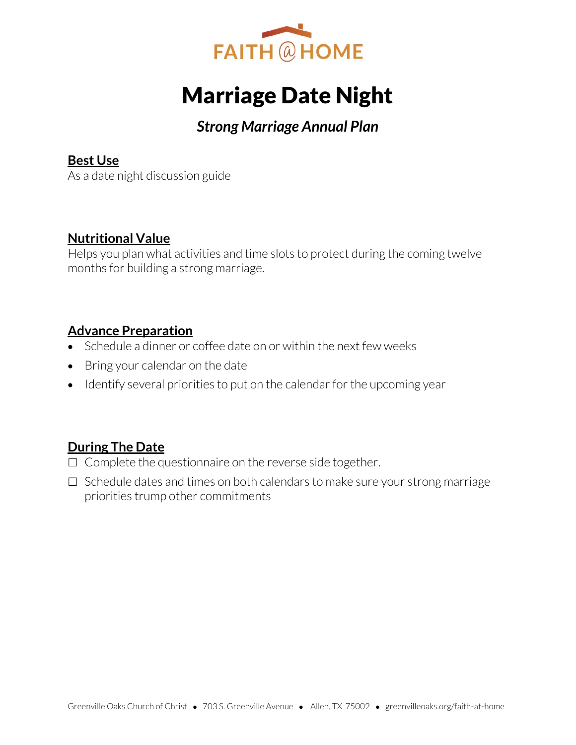

# Marriage Date Night

## *Strong Marriage Annual Plan*

#### **Best Use**

As a date night discussion guide

#### **Nutritional Value**

Helps you plan what activities and time slots to protect during the coming twelve months for building a strong marriage.

#### **Advance Preparation**

- Schedule a dinner or coffee date on or within the next few weeks
- Bring your calendar on the date
- Identify several priorities to put on the calendar for the upcoming year

### **During The Date**

- $\Box$  Complete the questionnaire on the reverse side together.
- $\Box$  Schedule dates and times on both calendars to make sure your strong marriage priorities trump other commitments